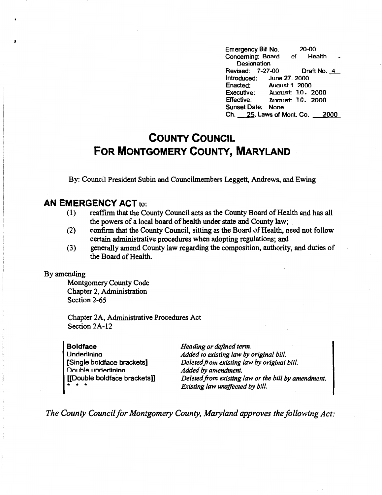Emergency Bill No. 20-00<br>Concerning: Board of Health Concerning: Board **Designation** Revised: 7-27-00 Draft No.~ Introduced: June 27, 2000<br>Enacted: August 1, 2000 Enacted: August 1. 2000<br>Executive: August 10. Executive: Ancrust 10, 2000<br>Effective: Ancrust 10, 2000 Effective: l\.11rn,i=t'. 1 n. 2000 Sunset Date: None Ch. \_\_25, Laws of Mont. Co. 2000

## **COUNTY COUNCIL FOR MONTGOMERY COUNTY, MARYLAND**

By: Council President Subin and Councilmembers Leggett, Andrews, and Ewing

## **AN EMERGENCY ACT** to:

- (1) reaffirm that the County Council acts as the County Board of Health and has all the powers of a local board of health under state and County law;
- (2) confirm that the County Council, sitting as the Board of Health, need not follow certain administrative procedures when adopting regulations; and
- (3) generally amend County law regarding the composition, authority, and duties of the Board of Health.

## By amending

,

Montgomery County Code Chapter 2, Administration Section 2-65

Chapter 2A, Administrative Procedures Act Section 2A-12

**Boldface**  Underlinina [Single boldface brackets] **nn11hlA** I **1nrtArlininn**  [[Double boldface brackets]] • • •

*Heading or defined term. Added to existing law by original bill. Deleted from existing law by original bill. Added by amendment. Deleted from existing law or the bill by amendment. Existing law unaffected by bill.* 

*The County Council for Montgomery County, Maryland approves the following Act:*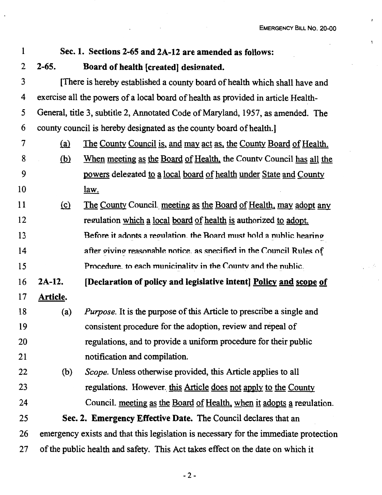$\bar{r}$ 

 $\mathbf{r}$ 

 $\epsilon^{\rm V}_{\rm eff}$ 

| 1  |                                                                                      | Sec. 1. Sections 2-65 and 2A-12 are amended as follows:                      |
|----|--------------------------------------------------------------------------------------|------------------------------------------------------------------------------|
| 2  | $2 - 65.$                                                                            | Board of health [created] designated.                                        |
| 3  | [There is hereby established a county board of health which shall have and           |                                                                              |
| 4  | exercise all the powers of a local board of health as provided in article Health-    |                                                                              |
| 5  | General, title 3, subtitle 2, Annotated Code of Maryland, 1957, as amended. The      |                                                                              |
| 6  | county council is hereby designated as the county board of health.                   |                                                                              |
| 7  | (a)                                                                                  | <u>The County Council is, and may act as, the County Board of Health.</u>    |
| 8  | <u>(b)</u>                                                                           | When meeting as the Board of Health, the County Council has all the          |
| 9  |                                                                                      | powers delegated to a local board of health under State and County           |
| 10 |                                                                                      | <u>law.</u>                                                                  |
| 11 | $\Omega$                                                                             | The County Council meeting as the Board of Health, may adopt any             |
| 12 |                                                                                      | regulation which a local board of health is authorized to adopt.             |
| 13 |                                                                                      | Before it adonts a regulation, the Board must hold a nublic hearing          |
| 14 |                                                                                      | after giving reasonable notice, as specified in the Council Rules of         |
| 15 |                                                                                      | Procedure, to each municinality in the County and the nublic.                |
| 16 | 2A-12.                                                                               | [Declaration of policy and legislative intent] Policy and scope of           |
| 17 | <b>Article.</b>                                                                      |                                                                              |
| 18 | (a)                                                                                  | <i>Purpose</i> . It is the purpose of this Article to prescribe a single and |
| 19 |                                                                                      | consistent procedure for the adoption, review and repeal of                  |
| 20 |                                                                                      | regulations, and to provide a uniform procedure for their public             |
| 21 |                                                                                      | notification and compilation.                                                |
| 22 | (b)                                                                                  | Scope. Unless otherwise provided, this Article applies to all                |
| 23 |                                                                                      | regulations. However, this Article does not apply to the County              |
| 24 |                                                                                      | Council. meeting as the Board of Health, when it adopts a regulation.        |
| 25 | Sec. 2. Emergency Effective Date. The Council declares that an                       |                                                                              |
| 26 | emergency exists and that this legislation is necessary for the immediate protection |                                                                              |
| 27 | of the public health and safety. This Act takes effect on the date on which it       |                                                                              |

 $\mathcal{L}_{\mathcal{A}}$ 

 $\ddot{\phantom{a}}$ 

 $\ddot{\phantom{a}}$ 

-2-